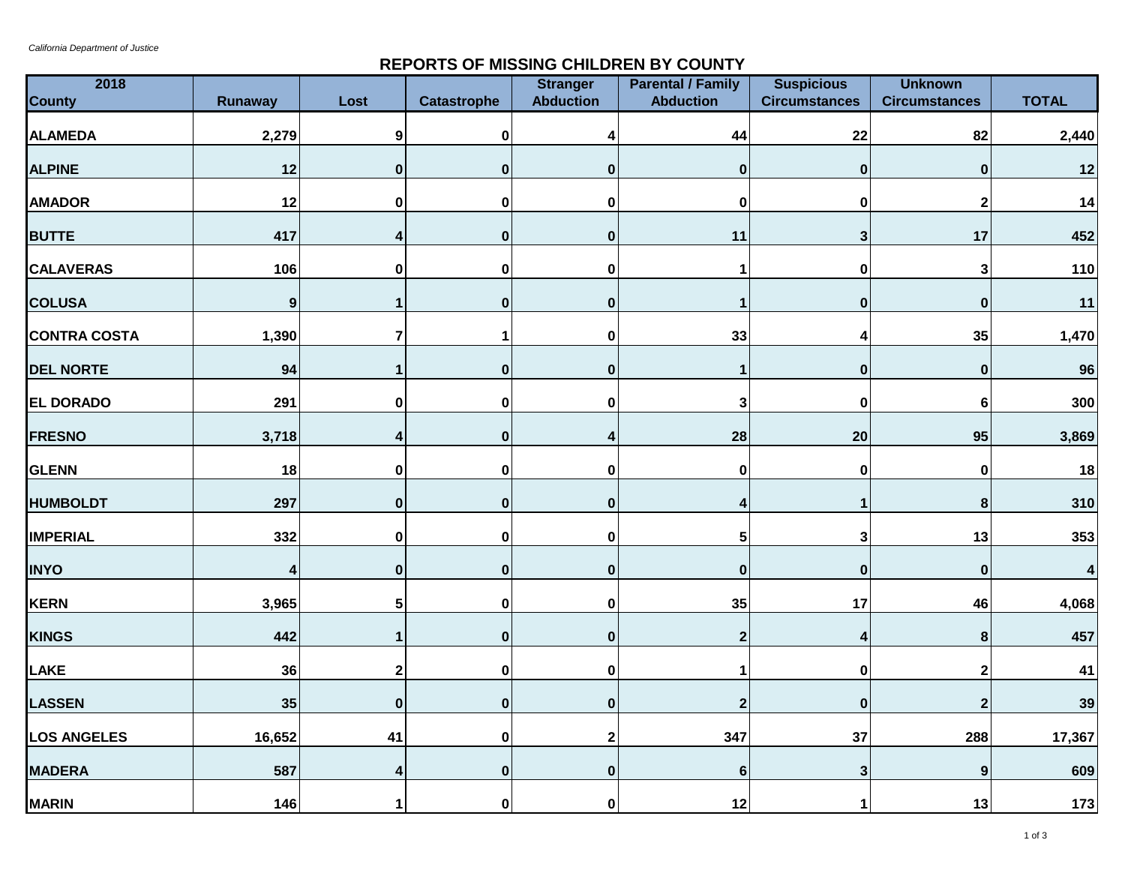*California Department of Justice*

## **REPORTS OF MISSING CHILDREN BY COUNTY**

| 2018                |              |                  |                    | <b>Stranger</b>  | <b>Parental / Family</b> | <b>Suspicious</b>    | <b>Unknown</b>       |              |
|---------------------|--------------|------------------|--------------------|------------------|--------------------------|----------------------|----------------------|--------------|
| <b>County</b>       | Runaway      | Lost             | <b>Catastrophe</b> | <b>Abduction</b> | <b>Abduction</b>         | <b>Circumstances</b> | <b>Circumstances</b> | <b>TOTAL</b> |
| <b>ALAMEDA</b>      | 2,279        | $\boldsymbol{9}$ | 0                  | Δ                | 44                       | 22                   | 82                   | 2,440        |
| <b>ALPINE</b>       | 12           | $\pmb{0}$        | $\pmb{0}$          | $\mathbf 0$      | $\bf{0}$                 | $\pmb{0}$            | $\mathbf 0$          | 12           |
| <b>AMADOR</b>       | 12           | 0                | 0                  | $\bf{0}$         | $\mathbf 0$              | $\mathbf 0$          | $\overline{2}$       | 14           |
| <b>BUTTE</b>        | 417          | 4                | $\pmb{0}$          | $\bf{0}$         | 11                       | $\mathbf 3$          | 17                   | 452          |
| <b>CALAVERAS</b>    | 106          | $\pmb{0}$        | 0                  | $\pmb{0}$        | 1                        | $\pmb{0}$            | $\mathbf{3}$         | 110          |
| <b>COLUSA</b>       | $\mathbf{9}$ |                  | $\mathbf 0$        | $\mathbf 0$      | 1                        | $\mathbf 0$          | $\mathbf 0$          | $11$         |
| <b>CONTRA COSTA</b> | 1,390        | $\overline{7}$   | 1                  | $\pmb{0}$        | 33                       | 4                    | 35                   | 1,470        |
| <b>DEL NORTE</b>    | 94           |                  | $\pmb{0}$          | $\bf{0}$         | 1                        | $\mathbf 0$          | $\mathbf 0$          | 96           |
| EL DORADO           | 291          | $\pmb{0}$        | 0                  | $\mathbf 0$      | 3                        | $\mathbf 0$          | 6                    | 300          |
| <b>FRESNO</b>       | 3,718        | 4                | $\pmb{0}$          | 4                | 28                       | 20                   | 95                   | 3,869        |
| <b>GLENN</b>        | 18           | $\pmb{0}$        | 0                  | $\mathbf 0$      | $\pmb{0}$                | $\pmb{0}$            | $\mathbf 0$          | 18           |
| <b>HUMBOLDT</b>     | 297          | $\pmb{0}$        | $\mathbf 0$        | $\pmb{0}$        | 4                        | 1                    | $\bf8$               | 310          |
| <b>IMPERIAL</b>     | 332          | $\mathbf 0$      | $\mathbf 0$        | $\mathbf 0$      | 5                        | $\mathbf{3}$         | 13                   | 353          |
| <b>INYO</b>         | 4            | $\pmb{0}$        | $\pmb{0}$          | $\bf{0}$         | $\pmb{0}$                | $\pmb{0}$            | $\bf{0}$             |              |
| <b>KERN</b>         | 3,965        | 5                | 0                  | $\pmb{0}$        | 35                       | 17                   | 46                   | 4,068        |
| <b>KINGS</b>        | 442          | 1                | $\mathbf 0$        | $\mathbf 0$      | $\overline{2}$           | 4                    | $\pmb{8}$            | 457          |
| LAKE                | 36           | $\mathbf 2$      | $\pmb{0}$          | $\pmb{0}$        |                          | $\pmb{0}$            | $\overline{2}$       | 41           |
| <b>LASSEN</b>       | 35           | $\pmb{0}$        | $\pmb{0}$          | $\bf{0}$         | $\mathbf{2}$             | $\mathbf 0$          | $\overline{2}$       | 39           |
| <b>LOS ANGELES</b>  | 16,652       | 41               | $\pmb{0}$          | $\overline{2}$   | 347                      | 37                   | 288                  | 17,367       |
| <b>MADERA</b>       | 587          | 4                | $\pmb{0}$          | $\bf{0}$         | $6\phantom{1}6$          | $\mathbf{3}$         | 9                    | 609          |
| <b>MARIN</b>        | 146          | 1                | $\mathbf 0$        | $\bf{0}$         | 12                       | 1                    | 13                   | 173          |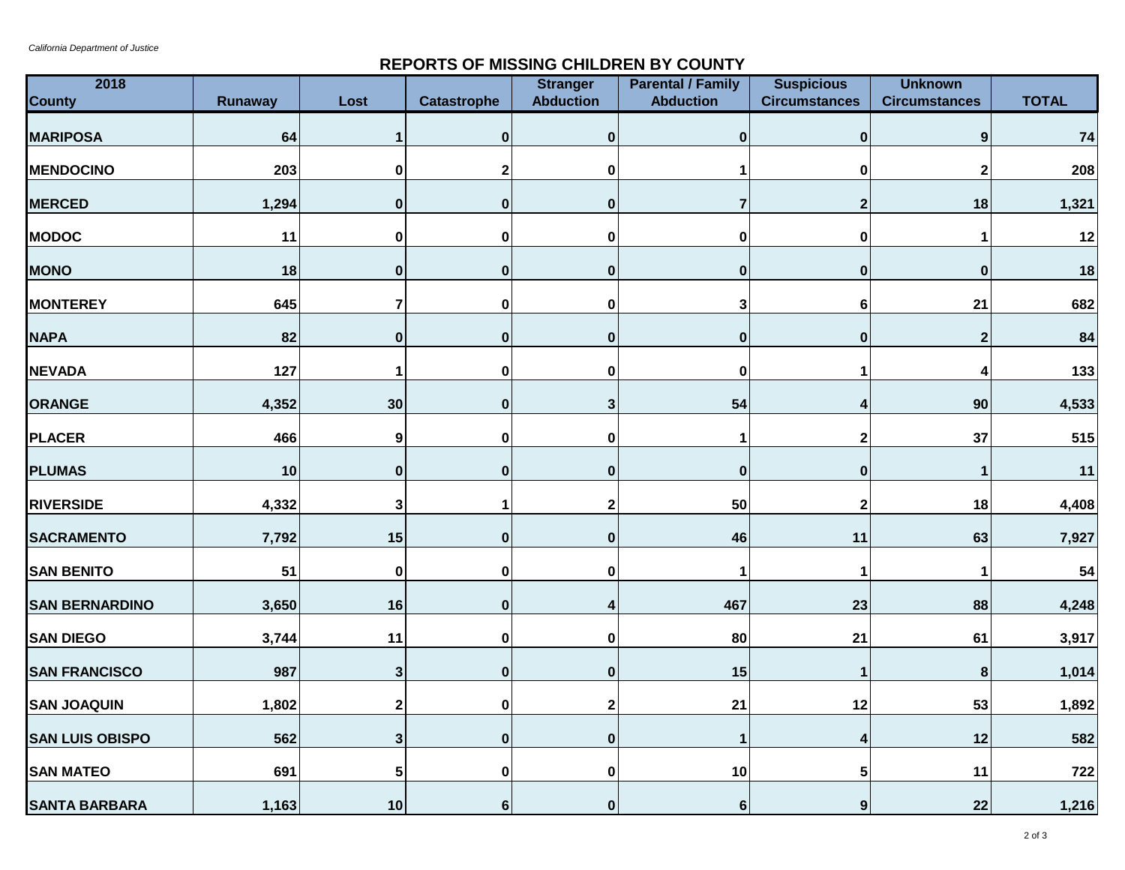## **REPORTS OF MISSING CHILDREN BY COUNTY**

| 2018<br><b>County</b>  | <b>Runaway</b> | Lost        | <b>Catastrophe</b> | <b>Stranger</b><br><b>Abduction</b> | <b>Parental / Family</b><br><b>Abduction</b> | <b>Suspicious</b><br><b>Circumstances</b> | <b>Unknown</b><br><b>Circumstances</b> | <b>TOTAL</b> |
|------------------------|----------------|-------------|--------------------|-------------------------------------|----------------------------------------------|-------------------------------------------|----------------------------------------|--------------|
| <b>MARIPOSA</b>        | 64             |             | $\mathbf 0$        | $\bf{0}$                            | $\bf{0}$                                     | $\mathbf 0$                               | 9                                      | 74           |
| <b>MENDOCINO</b>       | 203            | 0           | $\mathbf{2}$       | 0                                   |                                              | $\pmb{0}$                                 |                                        | 208          |
| <b>MERCED</b>          | 1,294          | $\mathbf 0$ | $\mathbf 0$        | $\bf{0}$                            | $\overline{7}$                               | $\mathbf{2}$                              | 18                                     | 1,321        |
| <b>MODOC</b>           | 11             | 0           | 0                  | 0                                   | 0                                            | $\pmb{0}$                                 | 1                                      | 12           |
| <b>MONO</b>            | 18             | $\mathbf 0$ | $\mathbf 0$        | $\bf{0}$                            | $\mathbf 0$                                  | $\pmb{0}$                                 | $\bf{0}$                               | 18           |
| <b>MONTEREY</b>        | 645            | 7           | $\bf{0}$           | $\pmb{0}$                           | 3                                            | $\bf 6$                                   | 21                                     | 682          |
| <b>NAPA</b>            | 82             | $\mathbf 0$ | $\pmb{0}$          | $\bf{0}$                            | $\mathbf 0$                                  | $\pmb{0}$                                 | $\overline{2}$                         | 84           |
| <b>NEVADA</b>          | 127            | 1           | 0                  | 0                                   | $\bf{0}$                                     |                                           | Δ                                      | 133          |
| <b>ORANGE</b>          | 4,352          | 30          | $\mathbf 0$        | 3                                   | 54                                           | 4                                         | 90                                     | 4,533        |
| <b>PLACER</b>          | 466            | 9           | $\mathbf 0$        | $\mathbf 0$                         | 1                                            | $\mathbf 2$                               | 37                                     | 515          |
| <b>PLUMAS</b>          | 10             | $\pmb{0}$   | $\mathbf{0}$       | $\pmb{0}$                           | $\mathbf 0$                                  | $\mathbf 0$                               | 1                                      | 11           |
| <b>RIVERSIDE</b>       | 4,332          | 3           | 1                  | $\mathbf 2$                         | 50                                           | $\mathbf 2$                               | 18                                     | 4,408        |
| <b>SACRAMENTO</b>      | 7,792          | 15          | $\mathbf{0}$       | $\mathbf 0$                         | 46                                           | 11                                        | 63                                     | 7,927        |
| <b>SAN BENITO</b>      | 51             | 0           | $\mathbf 0$        | 0                                   | 1                                            | 1                                         | 1                                      | 54           |
| <b>SAN BERNARDINO</b>  | 3,650          | 16          | $\bf{0}$           | 4                                   | 467                                          | 23                                        | 88                                     | 4,248        |
| <b>SAN DIEGO</b>       | 3,744          | 11          | $\mathbf 0$        | 0                                   | 80                                           | 21                                        | 61                                     | 3,917        |
| <b>SAN FRANCISCO</b>   | 987            | 3           | $\bf{0}$           | $\pmb{0}$                           | 15                                           | 1                                         | 8                                      | 1,014        |
| <b>SAN JOAQUIN</b>     | 1,802          | 2           | $\mathbf 0$        | $\mathbf{2}$                        | 21                                           | 12                                        | 53                                     | 1,892        |
| <b>SAN LUIS OBISPO</b> | 562            | 3           | $\pmb{0}$          | $\pmb{0}$                           |                                              | 4                                         | 12                                     | 582          |
| <b>SAN MATEO</b>       | 691            | 5           | $\mathbf 0$        | $\mathbf 0$                         | $10$                                         | $5\phantom{.0}$                           | 11                                     | 722          |
| <b>SANTA BARBARA</b>   | 1,163          | 10          | $6\phantom{1}$     | $\mathbf{0}$                        | $6\vert$                                     | $\boldsymbol{9}$                          | 22                                     | 1,216        |